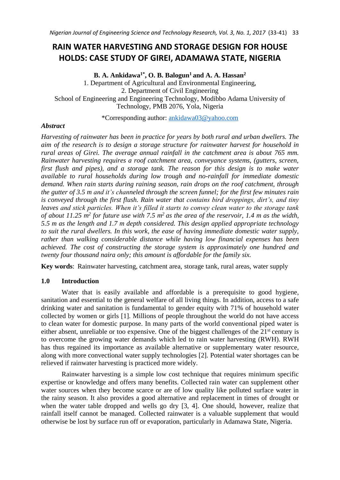# **RAIN WATER HARVESTING AND STORAGE DESIGN FOR HOUSE HOLDS: CASE STUDY OF GIREI, ADAMAWA STATE, NIGERIA**

**B. A. Ankidawa1\* , O. B. Balogun<sup>1</sup> and A. A. Hassan<sup>2</sup>** 1. Department of Agricultural and Environmental Engineering, 2. Department of Civil Engineering School of Engineering and Engineering Technology, Modibbo Adama University of Technology, PMB 2076, Yola, Nigeria

\*Corresponding author: [ankidawa03@yahoo.com](mailto:ankidawa03@yahoo.com)

## *Abstract*

*Harvesting of rainwater has been in practice for years by both rural and urban dwellers. The aim of the research is to design a storage structure for rainwater harvest for household in rural areas of Girei. The average annual rainfall in the catchment area is about 765 mm. Rainwater harvesting requires a roof catchment area, conveyance systems, (gutters, screen, first flush and pipes), and a storage tank. The reason for this design is to make water available to rural households during low trough and no-rainfall for immediate domestic demand. When rain starts during raining season, rain drops on the roof catchment, through the gutter of 3.5 m and it's channeled through the screen funnel; for the first few minutes rain is conveyed through the first flush. Rain water that contains bird droppings, dirt's, and tiny leaves and stick particles. When it's filled it starts to convey clean water to the storage tank of about 11.25 m<sup>2</sup> for future use with 7.5 m<sup>2</sup>as the area of the reservoir, 1.4 m as the width, 5.5 m as the length and 1.7 m depth considered. This design applied appropriate technology to suit the rural dwellers. In this work, the ease of having immediate domestic water supply, rather than walking considerable distance while having low financial expenses has been achieved. The cost of constructing the storage system is approximately one hundred and twenty four thousand naira only; this amount is affordable for the family six.*

**Key words**: Rainwater harvesting, catchment area, storage tank, rural areas, water supply

## **1.0 Introduction**

Water that is easily available and affordable is a prerequisite to good hygiene, sanitation and essential to the general welfare of all living things. In addition, access to a safe drinking water and sanitation is fundamental to gender equity with 71% of household water collected by women or girls [1]. Millions of people throughout the world do not have access to clean water for domestic purpose. In many parts of the world conventional piped water is either absent, unreliable or too expensive. One of the biggest challenges of the 21<sup>st</sup> century is to overcome the growing water demands which led to rain water harvesting (RWH). RWH has thus regained its importance as available alternative or supplementary water resource, along with more convectional water supply technologies [2]. Potential water shortages can be relieved if rainwater harvesting is practiced more widely.

Rainwater harvesting is a simple low cost technique that requires minimum specific expertise or knowledge and offers many benefits. Collected rain water can supplement other water sources when they become scarce or are of low quality like polluted surface water in the rainy season. It also provides a good alternative and replacement in times of drought or when the water table dropped and wells go dry [3, 4]. One should, however, realize that rainfall itself cannot be managed. Collected rainwater is a valuable supplement that would otherwise be lost by surface run off or evaporation, particularly in Adamawa State, Nigeria.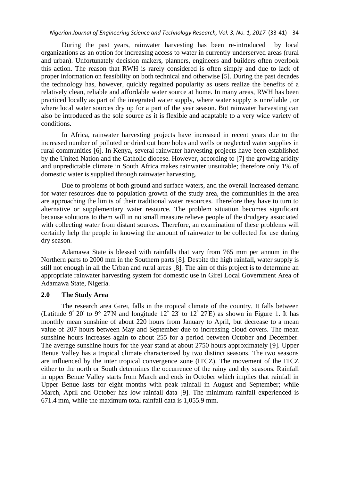During the past years, rainwater harvesting has been re-introduced by local organizations as an option for increasing access to water in currently underserved areas (rural and urban). Unfortunately decision makers, planners, engineers and builders often overlook this action. The reason that RWH is rarely considered is often simply and due to lack of proper information on feasibility on both technical and otherwise [5]. During the past decades the technology has, however, quickly regained popularity as users realize the benefits of a relatively clean, reliable and affordable water source at home. In many areas, RWH has been practiced locally as part of the integrated water supply, where water supply is unreliable , or where local water sources dry up for a part of the year season. But rainwater harvesting can also be introduced as the sole source as it is flexible and adaptable to a very wide variety of conditions.

In Africa, rainwater harvesting projects have increased in recent years due to the increased number of polluted or dried out bore holes and wells or neglected water supplies in rural communities [6]. In Kenya, several rainwater harvesting projects have been established by the United Nation and the Catholic diocese. However, according to [7] the growing aridity and unpredictable climate in South Africa makes rainwater unsuitable; therefore only 1% of domestic water is supplied through rainwater harvesting.

Due to problems of both ground and surface waters, and the overall increased demand for water resources due to population growth of the study area, the communities in the area are approaching the limits of their traditional water resources. Therefore they have to turn to alternative or supplementary water resource. The problem situation becomes significant because solutions to them will in no small measure relieve people of the drudgery associated with collecting water from distant sources. Therefore, an examination of these problems will certainly help the people in knowing the amount of rainwater to be collected for use during dry season.

Adamawa State is blessed with rainfalls that vary from 765 mm per annum in the Northern parts to 2000 mm in the Southern parts [8]. Despite the high rainfall, water supply is still not enough in all the Urban and rural areas [8]. The aim of this project is to determine an appropriate rainwater harvesting system for domestic use in Girei Local Government Area of Adamawa State, Nigeria.

#### **2.0 The Study Area**

The research area Girei, falls in the tropical climate of the country. It falls between (Latitude  $9^{\circ}$  20' to  $9^{\circ}$  27'N and longitude  $12^{\circ}$  23' to  $12^{\circ}$  27'E) as shown in Figure 1. It has monthly mean sunshine of about 220 hours from January to April, but decrease to a mean value of 207 hours between May and September due to increasing cloud covers. The mean sunshine hours increases again to about 255 for a period between October and December. The average sunshine hours for the year stand at about 2750 hours approximately [9]. Upper Benue Valley has a tropical climate characterized by two distinct seasons. The two seasons are influenced by the inter tropical convergence zone (ITCZ). The movement of the ITCZ either to the north or South determines the occurrence of the rainy and dry seasons. Rainfall in upper Benue Valley starts from March and ends in October which implies that rainfall in Upper Benue lasts for eight months with peak rainfall in August and September; while March, April and October has low rainfall data [9]. The minimum rainfall experienced is 671.4 mm, while the maximum total rainfall data is 1,055.9 mm.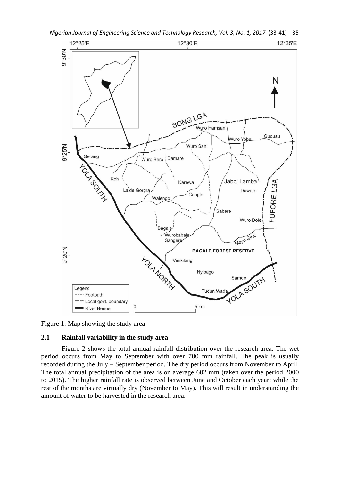





## **2.1 Rainfall variability in the study area**

Figure 2 shows the total annual rainfall distribution over the research area. The wet period occurs from May to September with over 700 mm rainfall. The peak is usually recorded during the July – September period. The dry period occurs from November to April. The total annual precipitation of the area is on average 602 mm (taken over the period 2000 to 2015). The higher rainfall rate is observed between June and October each year; while the rest of the months are virtually dry (November to May). This will result in understanding the amount of water to be harvested in the research area.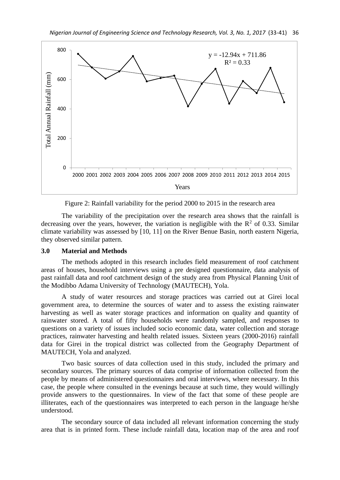

Figure 2: Rainfall variability for the period 2000 to 2015 in the research area

The variability of the precipitation over the research area shows that the rainfall is decreasing over the years, however, the variation is negligible with the  $R^2$  of 0.33. Similar climate variability was assessed by [10, 11] on the River Benue Basin, north eastern Nigeria, they observed similar pattern.

#### **3.0 Material and Methods**

The methods adopted in this research includes field measurement of roof catchment areas of houses, household interviews using a pre designed questionnaire, data analysis of past rainfall data and roof catchment design of the study area from Physical Planning Unit of the Modibbo Adama University of Technology (MAUTECH), Yola.

A study of water resources and storage practices was carried out at Girei local government area, to determine the sources of water and to assess the existing rainwater harvesting as well as water storage practices and information on quality and quantity of rainwater stored. A total of fifty households were randomly sampled, and responses to questions on a variety of issues included socio economic data, water collection and storage practices, rainwater harvesting and health related issues. Sixteen years (2000-2016) rainfall data for Girei in the tropical district was collected from the Geography Department of MAUTECH, Yola and analyzed.

Two basic sources of data collection used in this study, included the primary and secondary sources. The primary sources of data comprise of information collected from the people by means of administered questionnaires and oral interviews, where necessary. In this case, the people where consulted in the evenings because at such time, they would willingly provide answers to the questionnaires. In view of the fact that some of these people are illiterates, each of the questionnaires was interpreted to each person in the language he/she understood.

The secondary source of data included all relevant information concerning the study area that is in printed form. These include rainfall data, location map of the area and roof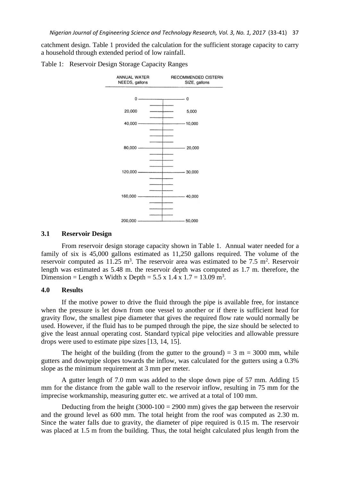catchment design. Table 1 provided the calculation for the sufficient storage capacity to carry a household through extended period of low rainfall.





### **3.1 Reservoir Design**

From reservoir design storage capacity shown in Table 1. Annual water needed for a family of six is 45,000 gallons estimated as 11,250 gallons required. The volume of the reservoir computed as 11.25 m<sup>3</sup>. The reservoir area was estimated to be 7.5 m<sup>2</sup>. Reservoir length was estimated as 5.48 m. the reservoir depth was computed as 1.7 m. therefore, the Dimension = Length x Width x Depth =  $5.5 \times 1.4 \times 1.7 = 13.09 \text{ m}^3$ .

### **4.0 Results**

If the motive power to drive the fluid through the pipe is available free, for instance when the pressure is let down from one vessel to another or if there is sufficient head for gravity flow, the smallest pipe diameter that gives the required flow rate would normally be used. However, if the fluid has to be pumped through the pipe, the size should be selected to give the least annual operating cost. Standard typical pipe velocities and allowable pressure drops were used to estimate pipe sizes [13, 14, 15].

The height of the building (from the gutter to the ground) =  $3 \text{ m} = 3000 \text{ mm}$ , while gutters and downpipe slopes towards the inflow, was calculated for the gutters using a 0.3% slope as the minimum requirement at 3 mm per meter.

A gutter length of 7.0 mm was added to the slope down pipe of 57 mm. Adding 15 mm for the distance from the gable wall to the reservoir inflow, resulting in 75 mm for the imprecise workmanship, measuring gutter etc. we arrived at a total of 100 mm.

Deducting from the height  $(3000-100 = 2900 \text{ mm})$  gives the gap between the reservoir and the ground level as 600 mm. The total height from the roof was computed as 2.30 m. Since the water falls due to gravity, the diameter of pipe required is 0.15 m. The reservoir was placed at 1.5 m from the building. Thus, the total height calculated plus length from the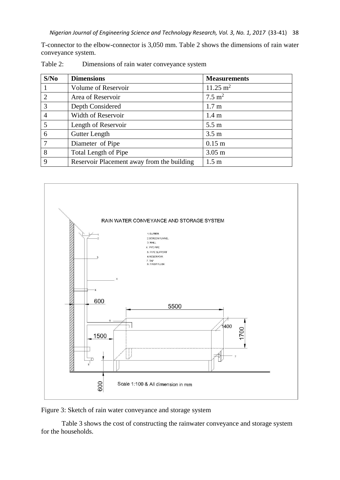T-connector to the elbow-connector is 3,050 mm. Table 2 shows the dimensions of rain water conveyance system.

| S/No           | <b>Dimensions</b>                          | <b>Measurements</b> |  |
|----------------|--------------------------------------------|---------------------|--|
|                | Volume of Reservoir                        | $11.25 \text{ m}^2$ |  |
| $\overline{2}$ | Area of Reservoir                          | $7.5 \text{ m}^2$   |  |
| 3              | Depth Considered                           | 1.7 <sub>m</sub>    |  |
| 4              | Width of Reservoir                         | 1.4 <sub>m</sub>    |  |
| 5              | Length of Reservoir                        | 5.5 m               |  |
| 6              | Gutter Length                              | 3.5 <sub>m</sub>    |  |
| $\tau$         | Diameter of Pipe                           | $0.15$ m            |  |
| 8              | Total Length of Pipe                       | $3.05 \text{ m}$    |  |
| 9              | Reservoir Placement away from the building | 1.5 <sub>m</sub>    |  |

Table 2: Dimensions of rain water conveyance system



Figure 3: Sketch of rain water conveyance and storage system

Table 3 shows the cost of constructing the rainwater conveyance and storage system for the households.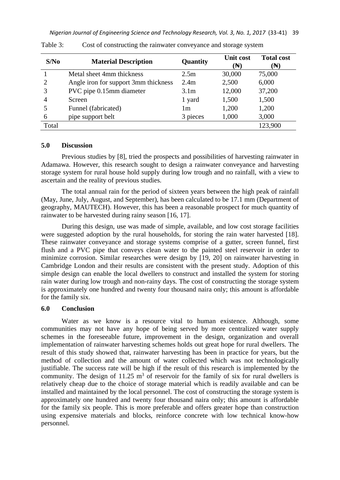| S/No  | <b>Material Description</b>          | Quantity         | <b>Unit cost</b><br>$(\mathbb{N})$ | <b>Total cost</b><br>$(\mathbb{N})$ |
|-------|--------------------------------------|------------------|------------------------------------|-------------------------------------|
|       | Metal sheet 4mm thickness            | 2.5m             | 30,000                             | 75,000                              |
| 2     | Angle iron for support 3mm thickness | 2.4m             | 2,500                              | 6,000                               |
| 3     | PVC pipe 0.15mm diameter             | 3.1 <sub>m</sub> | 12,000                             | 37,200                              |
| 4     | Screen                               | 1 yard           | 1,500                              | 1,500                               |
|       | Funnel (fabricated)                  | 1m               | 1,200                              | 1,200                               |
| 6     | pipe support belt                    | 3 pieces         | 1,000                              | 3,000                               |
| Total |                                      |                  |                                    | 123,900                             |

Table 3: Cost of constructing the rainwater conveyance and storage system

## **5.0 Discussion**

Previous studies by [8], tried the prospects and possibilities of harvesting rainwater in Adamawa. However, this research sought to design a rainwater conveyance and harvesting storage system for rural house hold supply during low trough and no rainfall, with a view to ascertain and the reality of previous studies.

The total annual rain for the period of sixteen years between the high peak of rainfall (May, June, July, August, and September), has been calculated to be 17.1 mm (Department of geography, MAUTECH). However, this has been a reasonable prospect for much quantity of rainwater to be harvested during rainy season [16, 17].

During this design, use was made of simple, available, and low cost storage facilities were suggested adoption by the rural households, for storing the rain water harvested [18]. These rainwater conveyance and storage systems comprise of a gutter, screen funnel, first flush and a PVC pipe that conveys clean water to the painted steel reservoir in order to minimize corrosion. Similar researches were design by [19, 20] on rainwater harvesting in Cambridge London and their results are consistent with the present study. Adoption of this simple design can enable the local dwellers to construct and installed the system for storing rain water during low trough and non-rainy days. The cost of constructing the storage system is approximately one hundred and twenty four thousand naira only; this amount is affordable for the family six.

## **6.0 Conclusion**

Water as we know is a resource vital to human existence. Although, some communities may not have any hope of being served by more centralized water supply schemes in the foreseeable future, improvement in the design, organization and overall implementation of rainwater harvesting schemes holds out great hope for rural dwellers. The result of this study showed that, rainwater harvesting has been in practice for years, but the method of collection and the amount of water collected which was not technologically justifiable. The success rate will be high if the result of this research is implemented by the community. The design of  $11.25 \text{ m}^3$  of reservoir for the family of six for rural dwellers is relatively cheap due to the choice of storage material which is readily available and can be installed and maintained by the local personnel. The cost of constructing the storage system is approximately one hundred and twenty four thousand naira only; this amount is affordable for the family six people. This is more preferable and offers greater hope than construction using expensive materials and blocks, reinforce concrete with low technical know-how personnel.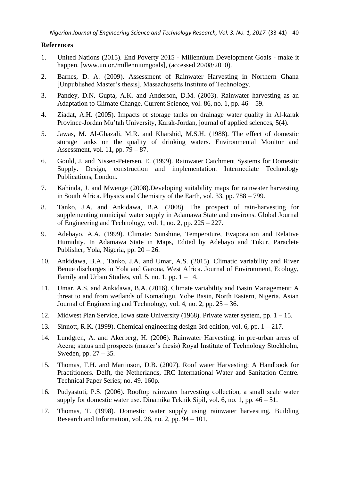## **References**

- 1. United Nations (2015). End Poverty 2015 Millennium Development Goals make it happen. [www.un.or./millenniumgoals], (accessed 20/08/2010).
- 2. Barnes, D. A. (2009). Assessment of Rainwater Harvesting in Northern Ghana [Unpublished Master's thesis]. Massachusetts Institute of Technology.
- 3. Pandey, D.N. Gupta, A.K. and Anderson, D.M. (2003). Rainwater harvesting as an Adaptation to Climate Change. Current Science, vol. 86, no. 1, pp. 46 – 59.
- 4. Ziadat, A.H. (2005). Impacts of storage tanks on drainage water quality in Al-karak Province-Jordan Mu'tah University, Karak-Jordan, journal of applied sciences, 5(4).
- 5. Jawas, M. Al-Ghazali, M.R. and Kharshid, M.S.H. (1988). The effect of domestic storage tanks on the quality of drinking waters. Environmental Monitor and Assessment, vol. 11, pp. 79 – 87.
- 6. Gould, J. and Nissen-Petersen, E. (1999). Rainwater Catchment Systems for Domestic Supply. Design, construction and implementation. Intermediate Technology Publications, London.
- 7. Kahinda, J. and Mwenge (2008).Developing suitability maps for rainwater harvesting in South Africa. Physics and Chemistry of the Earth, vol. 33, pp. 788 – 799.
- 8. Tanko, J.A. and Ankidawa, B.A. (2008). The prospect of rain-harvesting for supplementing municipal water supply in Adamawa State and environs. Global Journal of Engineering and Technology, vol. 1, no. 2, pp. 225 – 227.
- 9. Adebayo, A.A. (1999). Climate: Sunshine, Temperature, Evaporation and Relative Humidity. In Adamawa State in Maps, Edited by Adebayo and Tukur, Paraclete Publisher, Yola, Nigeria, pp. 20 – 26.
- 10. Ankidawa, B.A., Tanko, J.A. and Umar, A.S. (2015). Climatic variability and River Benue discharges in Yola and Garoua, West Africa. Journal of Environment, Ecology, Family and Urban Studies, vol. 5, no. 1, pp.  $1 - 14$ .
- 11. Umar, A.S. and Ankidawa, B.A. (2016). Climate variability and Basin Management: A threat to and from wetlands of Komadugu, Yobe Basin, North Eastern, Nigeria. Asian Journal of Engineering and Technology, vol. 4, no. 2, pp. 25 – 36.
- 12. Midwest Plan Service, Iowa state University (1968). Private water system, pp. 1 15.
- 13. Sinnott, R.K. (1999). Chemical engineering design 3rd edition, vol. 6, pp. 1 217.
- 14. Lundgren, A. and Akerberg, H. (2006). Rainwater Harvesting. in pre-urban areas of Accra; status and prospects (master's thesis) Royal Institute of Technology Stockholm, Sweden, pp. 27 – 35.
- 15. Thomas, T.H. and Martinson, D.B. (2007). Roof water Harvesting: A Handbook for Practitioners. Delft, the Netherlands, IRC International Water and Sanitation Centre. Technical Paper Series; no. 49. 160p.
- 16. Pudyastuti, P.S. (2006). Rooftop rainwater harvesting collection, a small scale water supply for domestic water use. Dinamika Teknik Sipil, vol. 6, no. 1, pp. 46 – 51.
- 17. Thomas, T. (1998). Domestic water supply using rainwater harvesting. Building Research and Information, vol. 26, no. 2, pp.  $94 - 101$ .